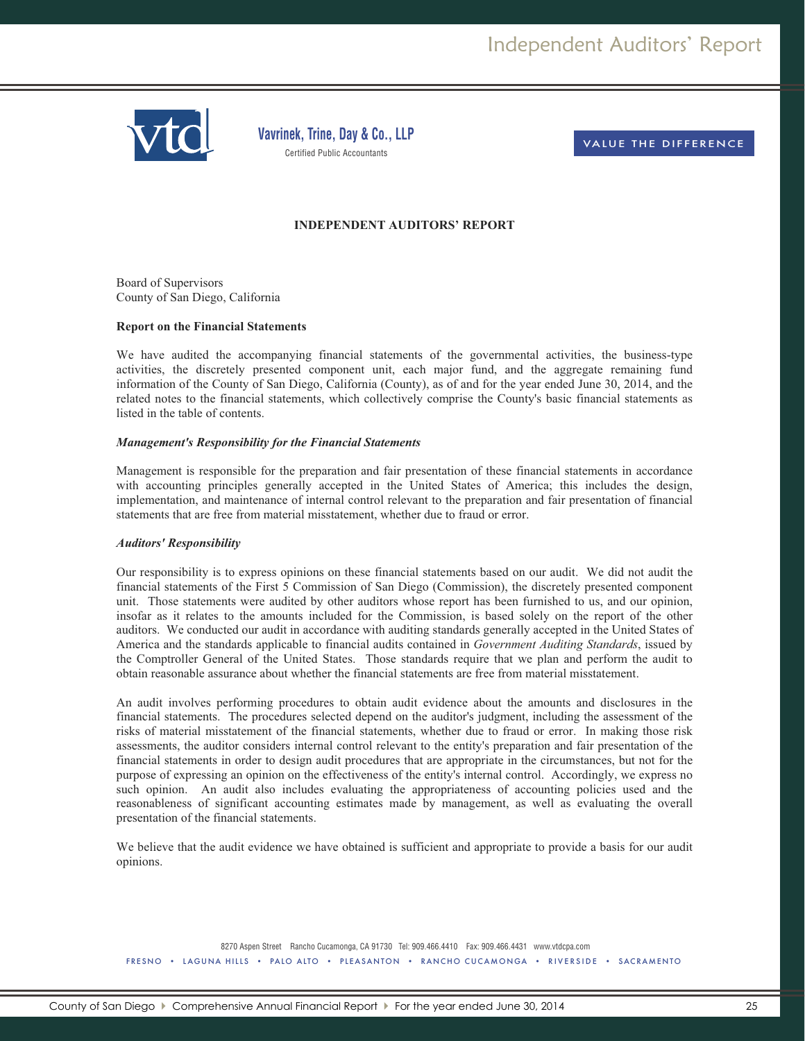

**Vavrinek, Trine, Day & Co., LLP** Certified Public Accountants

VALUE THE DIFFERENCE

# **INDEPENDENT AUDITORS' REPORT**

Board of Supervisors County of San Diego, California

## **Report on the Financial Statements**

We have audited the accompanying financial statements of the governmental activities, the business-type activities, the discretely presented component unit, each major fund, and the aggregate remaining fund information of the County of San Diego, California (County), as of and for the year ended June 30, 2014, and the related notes to the financial statements, which collectively comprise the County's basic financial statements as listed in the table of contents.

#### *Management's Responsibility for the Financial Statements*

Management is responsible for the preparation and fair presentation of these financial statements in accordance with accounting principles generally accepted in the United States of America; this includes the design, implementation, and maintenance of internal control relevant to the preparation and fair presentation of financial statements that are free from material misstatement, whether due to fraud or error.

# *Auditors' Responsibility*

Our responsibility is to express opinions on these financial statements based on our audit. We did not audit the financial statements of the First 5 Commission of San Diego (Commission), the discretely presented component unit. Those statements were audited by other auditors whose report has been furnished to us, and our opinion, insofar as it relates to the amounts included for the Commission, is based solely on the report of the other auditors. We conducted our audit in accordance with auditing standards generally accepted in the United States of America and the standards applicable to financial audits contained in *Government Auditing Standards*, issued by the Comptroller General of the United States. Those standards require that we plan and perform the audit to obtain reasonable assurance about whether the financial statements are free from material misstatement.

An audit involves performing procedures to obtain audit evidence about the amounts and disclosures in the financial statements. The procedures selected depend on the auditor's judgment, including the assessment of the risks of material misstatement of the financial statements, whether due to fraud or error. In making those risk assessments, the auditor considers internal control relevant to the entity's preparation and fair presentation of the financial statements in order to design audit procedures that are appropriate in the circumstances, but not for the purpose of expressing an opinion on the effectiveness of the entity's internal control. Accordingly, we express no such opinion. An audit also includes evaluating the appropriateness of accounting policies used and the reasonableness of significant accounting estimates made by management, as well as evaluating the overall presentation of the financial statements.

We believe that the audit evidence we have obtained is sufficient and appropriate to provide a basis for our audit opinions.

8270 Aspen Street Rancho Cucamonga, CA 91730 Tel: 909.466.4410 Fax: 909.466.4431 www.vtdcpa.com FRESNO • LAGUNA HILLS • PALO ALTO • PLEASANTON • RANCHO CUCAMONGA • RIVERSIDE • SACRAMENTO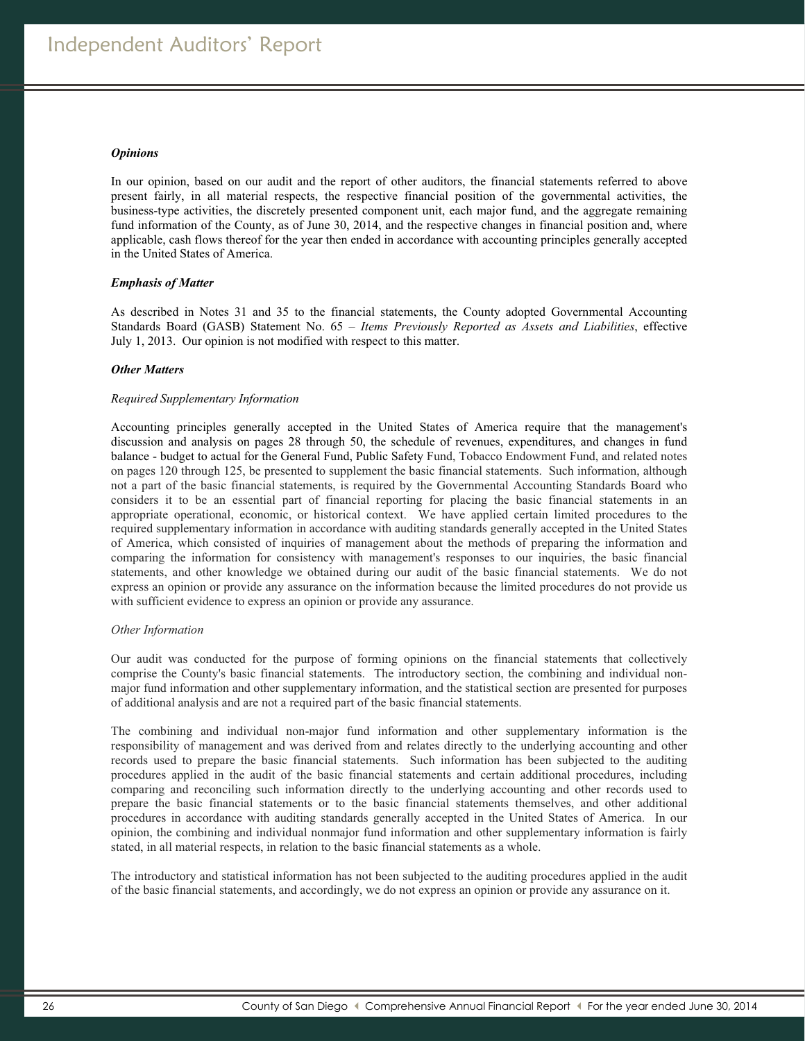## *Opinions*

In our opinion, based on our audit and the report of other auditors, the financial statements referred to above present fairly, in all material respects, the respective financial position of the governmental activities, the business-type activities, the discretely presented component unit, each major fund, and the aggregate remaining fund information of the County, as of June 30, 2014, and the respective changes in financial position and, where applicable, cash flows thereof for the year then ended in accordance with accounting principles generally accepted in the United States of America.

## *Emphasis of Matter*

As described in Notes 31 and 35 to the financial statements, the County adopted Governmental Accounting Standards Board (GASB) Statement No. 65 – *Items Previously Reported as Assets and Liabilities*, effective July 1, 2013. Our opinion is not modified with respect to this matter.

#### *Other Matters*

### *Required Supplementary Information*

Accounting principles generally accepted in the United States of America require that the management's discussion and analysis on pages 28 through 50, the schedule of revenues, expenditures, and changes in fund balance - budget to actual for the General Fund, Public Safety Fund, Tobacco Endowment Fund, and related notes on pages 120 through 125, be presented to supplement the basic financial statements. Such information, although not a part of the basic financial statements, is required by the Governmental Accounting Standards Board who considers it to be an essential part of financial reporting for placing the basic financial statements in an appropriate operational, economic, or historical context. We have applied certain limited procedures to the required supplementary information in accordance with auditing standards generally accepted in the United States of America, which consisted of inquiries of management about the methods of preparing the information and comparing the information for consistency with management's responses to our inquiries, the basic financial statements, and other knowledge we obtained during our audit of the basic financial statements. We do not express an opinion or provide any assurance on the information because the limited procedures do not provide us with sufficient evidence to express an opinion or provide any assurance.

## *Other Information*

Our audit was conducted for the purpose of forming opinions on the financial statements that collectively comprise the County's basic financial statements. The introductory section, the combining and individual nonmajor fund information and other supplementary information, and the statistical section are presented for purposes of additional analysis and are not a required part of the basic financial statements.

The combining and individual non-major fund information and other supplementary information is the responsibility of management and was derived from and relates directly to the underlying accounting and other records used to prepare the basic financial statements. Such information has been subjected to the auditing procedures applied in the audit of the basic financial statements and certain additional procedures, including comparing and reconciling such information directly to the underlying accounting and other records used to prepare the basic financial statements or to the basic financial statements themselves, and other additional procedures in accordance with auditing standards generally accepted in the United States of America. In our opinion, the combining and individual nonmajor fund information and other supplementary information is fairly stated, in all material respects, in relation to the basic financial statements as a whole.

The introductory and statistical information has not been subjected to the auditing procedures applied in the audit of the basic financial statements, and accordingly, we do not express an opinion or provide any assurance on it.